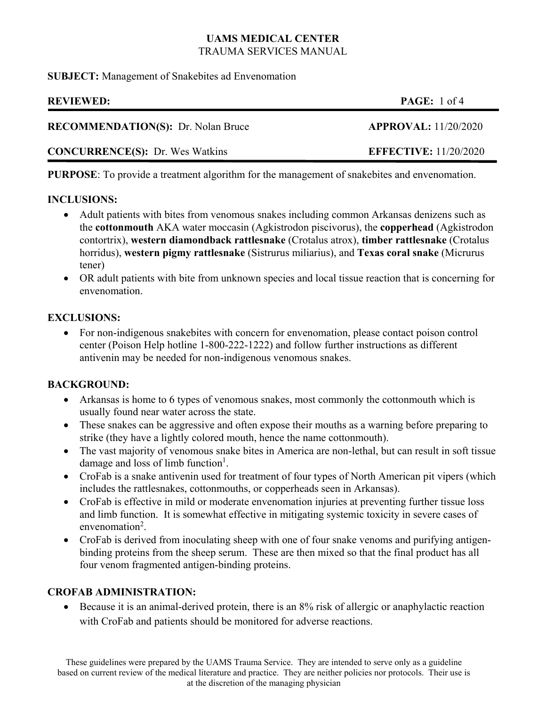**SUBJECT:** Management of Snakebites ad Envenomation

| <b>REVIEWED:</b>                          | <b>PAGE:</b> 1 of 4          |
|-------------------------------------------|------------------------------|
| <b>RECOMMENDATION(S):</b> Dr. Nolan Bruce | APPROVAL: 11/20/2020         |
| <b>CONCURRENCE(S):</b> Dr. Wes Watkins    | <b>EFFECTIVE:</b> 11/20/2020 |

**PURPOSE**: To provide a treatment algorithm for the management of snakebites and envenomation.

### **INCLUSIONS:**

- Adult patients with bites from venomous snakes including common Arkansas denizens such as the **cottonmouth** AKA water moccasin (Agkistrodon piscivorus), the **copperhead** (Agkistrodon contortrix), **western diamondback rattlesnake** (Crotalus atrox), **timber rattlesnake** (Crotalus horridus), **western pigmy rattlesnake** (Sistrurus miliarius), and **Texas coral snake** (Micrurus tener)
- OR adult patients with bite from unknown species and local tissue reaction that is concerning for envenomation.

### **EXCLUSIONS:**

 For non-indigenous snakebites with concern for envenomation, please contact poison control center (Poison Help hotline 1-800-222-1222) and follow further instructions as different antivenin may be needed for non-indigenous venomous snakes.

### **BACKGROUND:**

- Arkansas is home to 6 types of venomous snakes, most commonly the cottonmouth which is usually found near water across the state.
- These snakes can be aggressive and often expose their mouths as a warning before preparing to strike (they have a lightly colored mouth, hence the name cottonmouth).
- The vast majority of venomous snake bites in America are non-lethal, but can result in soft tissue damage and loss of limb function<sup>1</sup>.
- CroFab is a snake antivenin used for treatment of four types of North American pit vipers (which includes the rattlesnakes, cottonmouths, or copperheads seen in Arkansas).
- CroFab is effective in mild or moderate envenomation injuries at preventing further tissue loss and limb function. It is somewhat effective in mitigating systemic toxicity in severe cases of envenomation<sup>2</sup>.
- CroFab is derived from inoculating sheep with one of four snake venoms and purifying antigenbinding proteins from the sheep serum. These are then mixed so that the final product has all four venom fragmented antigen-binding proteins.

# **CROFAB ADMINISTRATION:**

 Because it is an animal-derived protein, there is an 8% risk of allergic or anaphylactic reaction with CroFab and patients should be monitored for adverse reactions.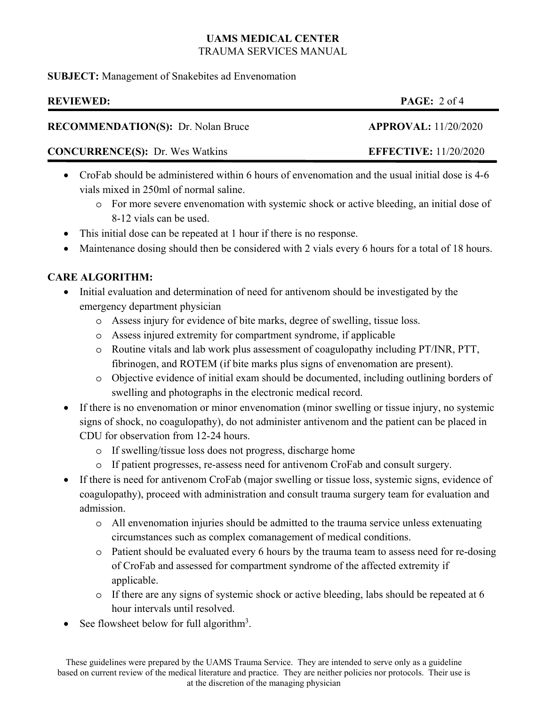**SUBJECT:** Management of Snakebites ad Envenomation

# **REVIEWED: PAGE:** 2 of 4

### **RECOMMENDATION(S):** Dr. Nolan Bruce **APPROVAL:** 11/20/2020

# **CONCURRENCE(S):** Dr. Wes Watkins **EFFECTIVE:** 11/20/2020

- CroFab should be administered within 6 hours of envenomation and the usual initial dose is 4-6 vials mixed in 250ml of normal saline.
	- o For more severe envenomation with systemic shock or active bleeding, an initial dose of 8-12 vials can be used.
- This initial dose can be repeated at 1 hour if there is no response.
- Maintenance dosing should then be considered with 2 vials every 6 hours for a total of 18 hours.

# **CARE ALGORITHM:**

- Initial evaluation and determination of need for antivenom should be investigated by the emergency department physician
	- o Assess injury for evidence of bite marks, degree of swelling, tissue loss.
	- o Assess injured extremity for compartment syndrome, if applicable
	- o Routine vitals and lab work plus assessment of coagulopathy including PT/INR, PTT, fibrinogen, and ROTEM (if bite marks plus signs of envenomation are present).
	- o Objective evidence of initial exam should be documented, including outlining borders of swelling and photographs in the electronic medical record.
- If there is no envenomation or minor envenomation (minor swelling or tissue injury, no systemic signs of shock, no coagulopathy), do not administer antivenom and the patient can be placed in CDU for observation from 12-24 hours.
	- o If swelling/tissue loss does not progress, discharge home
	- o If patient progresses, re-assess need for antivenom CroFab and consult surgery.
- If there is need for antivenom CroFab (major swelling or tissue loss, systemic signs, evidence of coagulopathy), proceed with administration and consult trauma surgery team for evaluation and admission.
	- o All envenomation injuries should be admitted to the trauma service unless extenuating circumstances such as complex comanagement of medical conditions.
	- o Patient should be evaluated every 6 hours by the trauma team to assess need for re-dosing of CroFab and assessed for compartment syndrome of the affected extremity if applicable.
	- $\circ$  If there are any signs of systemic shock or active bleeding, labs should be repeated at 6 hour intervals until resolved.
- See flowsheet below for full algorithm<sup>3</sup>.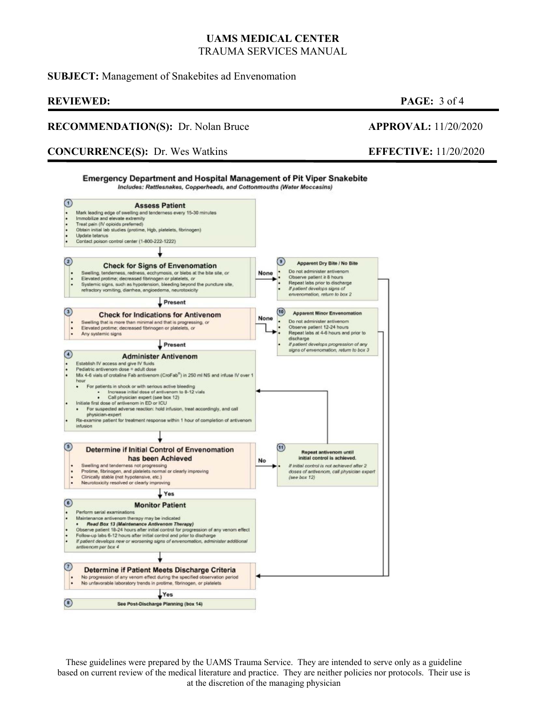### **SUBJECT:** Management of Snakebites ad Envenomation

### **REVIEWED: PAGE:** 3 of 4

### **RECOMMENDATION(S):** Dr. Nolan Bruce **APPROVAL:** 11/20/2020

### **CONCURRENCE(S):** Dr. Wes Watkins **EFFECTIVE:** 11/20/2020



These guidelines were prepared by the UAMS Trauma Service. They are intended to serve only as a guideline based on current review of the medical literature and practice. They are neither policies nor protocols. Their use is at the discretion of the managing physician